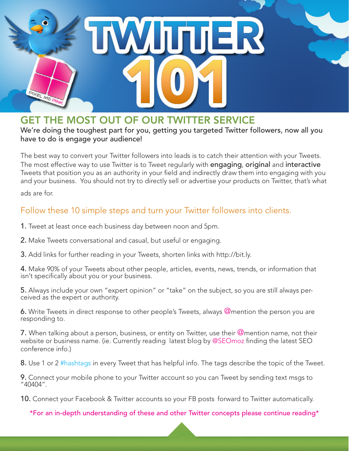

# GET THE MOST OUT OF OUR TWITTER SERVICE

We're doing the toughest part for you, getting you targeted Twitter followers, now all you have to do is engage your audience!

The best way to convert your Twitter followers into leads is to catch their attention with your Tweets. The most effective way to use Twitter is to Tweet regularly with **engaging, original** and **interactive** Tweets that position you as an authority in your field and indirectly draw them into engaging with you and your business. You should not try to directly sell or advertise your products on Twitter, that's what ads are for.

### Follow these 10 simple steps and turn your Twitter followers into clients.

- 1. Tweet at least once each business day between noon and 5pm.
- 2. Make Tweets conversational and casual, but useful or engaging.
- 3. Add links for further reading in your Tweets, shorten links with http://bit.ly.

4. Make 90% of your Tweets about other people, articles, events, news, trends, or information that isn't specifically about you or your business.

5. Always include your own "expert opinion" or "take" on the subject, so you are still always perceived as the expert or authority.

6. Write Tweets in direct response to other people's Tweets, always  $@$ mention the person you are responding to.

7. When talking about a person, business, or entity on Twitter, use their  $@$ mention name, not their website or business name. (ie. Currently reading latest blog by @SEOmoz finding the latest SEO conference info.)

8. Use 1 or 2 #hashtags in every Tweet that has helpful info. The tags describe the topic of the Tweet.

9. Connect your mobile phone to your Twitter account so you can Tweet by sending text msgs to "40404".

10. Connect your Facebook & Twitter accounts so your FB posts forward to Twitter automatically.

\*For an in-depth understanding of these and other Twitter concepts please continue reading\*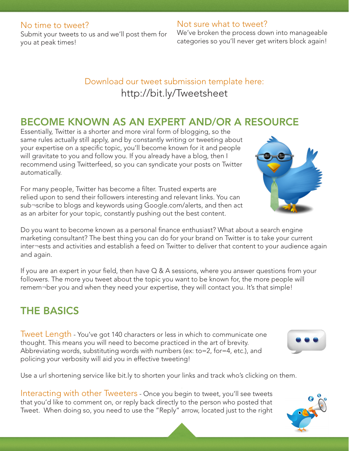#### No time to tweet?

Submit your tweets to us and we'll post them for you at peak times!

### Not sure what to tweet?

We've broken the process down into manageable categories so you'll never get writers block again!

## Download our tweet submission template here: http://bit.ly/Tweetsheet

### BECOME KNOWN AS AN EXPERT AND/OR A RESOURCE

Essentially, Twitter is a shorter and more viral form of blogging, so the same rules actually still apply, and by constantly writing or tweeting about your expertise on a specific topic, you'll become known for it and people will gravitate to you and follow you. If you already have a blog, then I recommend using Twitterfeed, so you can syndicate your posts on Twitter automatically.

For many people, Twitter has become a filter. Trusted experts are relied upon to send their followers interesting and relevant links. You can sub¬scribe to blogs and keywords using Google.com/alerts, and then act as an arbiter for your topic, constantly pushing out the best content.

Do you want to become known as a personal finance enthusiast? What about a search engine marketing consultant? The best thing you can do for your brand on Twitter is to take your current inter¬ests and activities and establish a feed on Twitter to deliver that content to your audience again and again.

If you are an expert in your field, then have Q & A sessions, where you answer questions from your followers. The more you tweet about the topic you want to be known for, the more people will remem¬ber you and when they need your expertise, they will contact you. It's that simple!

# THE BASICS

**Iweet Length - You've got 140 characters or less in which to communicate one** thought. This means you will need to become practiced in the art of brevity. Abbreviating words, substituting words with numbers (ex: to=2, for=4, etc.), and policing your verbosity will aid you in effective tweeting!

Use a url shortening service like bit.ly to shorten your links and track who's clicking on them.

Interacting with other Tweeters - Once you begin to tweet, you'll see tweets that you'd like to comment on, or reply back directly to the person who posted that Tweet. When doing so, you need to use the "Reply" arrow, located just to the right





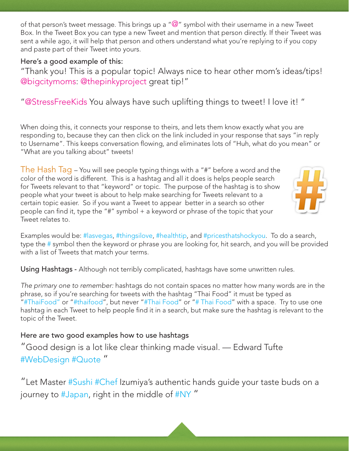of that person's tweet message. This brings up a " $@$ " symbol with their username in a new Tweet Box. In the Tweet Box you can type a new Tweet and mention that person directly. If their Tweet was sent a while ago, it will help that person and others understand what you're replying to if you copy and paste part of their Tweet into yours.

#### Here's a good example of this:

"Thank you! This is a popular topic! Always nice to hear other mom's ideas/tips! @bigcitymoms: @thepinkyproject great tip!"

"@StressFreeKids You always have such uplifting things to tweet! I love it! "

When doing this, it connects your response to theirs, and lets them know exactly what you are responding to, because they can then click on the link included in your response that says "in reply to Username". This keeps conversation flowing, and eliminates lots of "Huh, what do you mean" or "What are you talking about" tweets!

The Hash Tag – You will see people typing things with a "#" before a word and the color of the word is different. This is a hashtag and all it does is helps people search for Tweets relevant to that "keyword" or topic. The purpose of the hashtag is to show people what your tweet is about to help make searching for Tweets relevant to a certain topic easier. So if you want a Tweet to appear better in a search so other people can find it, type the "#" symbol + a keyword or phrase of the topic that your Tweet relates to.



Examples would be: #lasvegas, #thingsilove, #healthtip, and #pricesthatshockyou. To do a search, type the # symbol then the keyword or phrase you are looking for, hit search, and you will be provided with a list of Tweets that match your terms.

Using Hashtags - Although not terribly complicated, hashtags have some unwritten rules.

*The primary one to remember:* hashtags do not contain spaces no matter how many words are in the phrase, so if you're searching for tweets with the hashtag "Thai Food" it must be typed as "#ThaiFood" or "#thaifood", but never "#Thai Food" or "# Thai Food" with a space. Try to use one hashtag in each Tweet to help people find it in a search, but make sure the hashtag is relevant to the topic of the Tweet.

### Here are two good examples how to use hashtags

"Good design is a lot like clear thinking made visual. — Edward Tufte #WebDesign #Quote "

"Let Master #Sushi #Chef Izumiya's authentic hands guide your taste buds on a journey to #Japan, right in the middle of #NY"